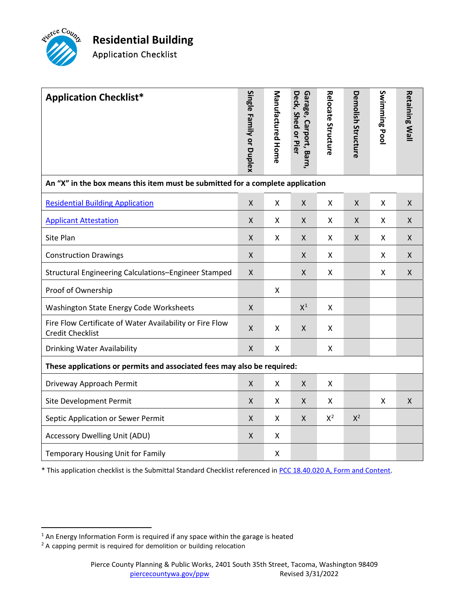

| <b>Application Checklist*</b>                                                       | Single Family or Duplex | Manufactured Home | Deck, Shed or Pier<br>Garage, Carport, Barn | Relocate Structure | Demolish Structure        | Swimming Pool | <b>Retaining Wall</b> |
|-------------------------------------------------------------------------------------|-------------------------|-------------------|---------------------------------------------|--------------------|---------------------------|---------------|-----------------------|
| An "X" in the box means this item must be submitted for a complete application      |                         |                   |                                             |                    |                           |               |                       |
| <b>Residential Building Application</b>                                             | X                       | X                 | $\mathsf{X}$                                | X                  | X                         | X             | X                     |
| <b>Applicant Attestation</b>                                                        | X                       | X                 | $\mathsf{X}$                                | X                  | X                         | X             | X                     |
| Site Plan                                                                           | X                       | X                 | $\mathsf{X}$                                | X                  | $\boldsymbol{\mathsf{X}}$ | X             | X                     |
| <b>Construction Drawings</b>                                                        | Χ                       |                   | X                                           | X                  |                           | X             | X                     |
| Structural Engineering Calculations-Engineer Stamped                                | $\pmb{\mathsf{X}}$      |                   | $\pmb{\mathsf{X}}$                          | Χ                  |                           | X             | $\pmb{\mathsf{X}}$    |
| Proof of Ownership                                                                  |                         | X                 |                                             |                    |                           |               |                       |
| Washington State Energy Code Worksheets                                             | $\pmb{\mathsf{X}}$      |                   | $X^1$                                       | Χ                  |                           |               |                       |
| Fire Flow Certificate of Water Availability or Fire Flow<br><b>Credit Checklist</b> | X                       | Χ                 | $\mathsf{X}$                                | X                  |                           |               |                       |
| <b>Drinking Water Availability</b>                                                  | $\pmb{\mathsf{X}}$      | Χ                 |                                             | X                  |                           |               |                       |
| These applications or permits and associated fees may also be required:             |                         |                   |                                             |                    |                           |               |                       |
| Driveway Approach Permit                                                            | $\pmb{\mathsf{X}}$      | Χ                 | $\pmb{\mathsf{X}}$                          | X                  |                           |               |                       |
| Site Development Permit                                                             | Χ                       | X                 | $\pmb{\mathsf{X}}$                          | X                  |                           | X             | X                     |
| Septic Application or Sewer Permit                                                  | X                       | X                 | $\mathsf{X}$                                | $X^2$              | $X^2$                     |               |                       |
| Accessory Dwelling Unit (ADU)                                                       | Χ                       | Χ                 |                                             |                    |                           |               |                       |
| Temporary Housing Unit for Family                                                   |                         | Χ                 |                                             |                    |                           |               |                       |

\* This application checklist is the Submittal Standard Checklist referenced i[n PCC 18.40.020 A, Form and Content.](https://www.codepublishing.com/WA/PierceCounty/#!/PierceCounty18/PierceCounty1840.html)

<span id="page-0-0"></span> $1$  An Energy Information Form is required if any space within the garage is heated

<span id="page-0-1"></span><sup>&</sup>lt;sup>2</sup> A capping permit is required for demolition or building relocation